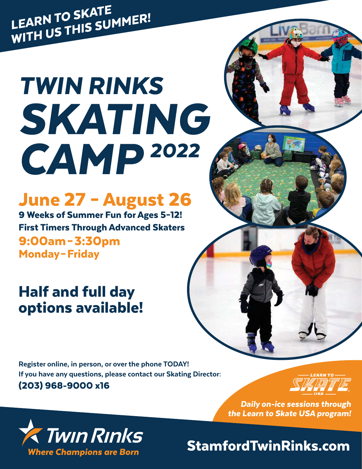LEARN TO SKATE<br>LEARN TO SKATE LEARN TO SKALL<br>WITH US THIS SUMMER!

# TWIN RINKS SKATING CAMP <sup>2022</sup>

## June 27 – August 26

9 Weeks of Summer Fun for Ages 5–12! First Timers Through Advanced Skaters 9:00am – 3:30pm Monday – Friday

## Half and full day options available!

Register online, in person, or over the phone TODAY! If you have any questions, please contact our Skating Director: (203) 968-9000 x16



Daily on-ice sessions through the Learn to Skate USA program!



StamfordTwinRinks.com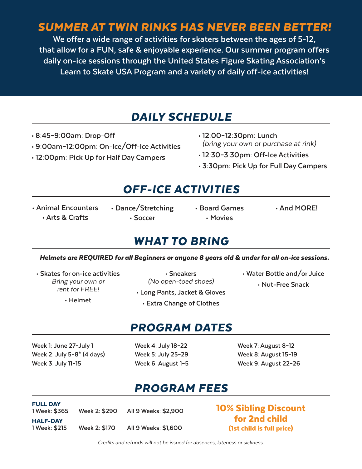### SUMMER AT TWIN RINKS HAS NEVER BEEN BETTER!

**We offer a wide range of activities for skaters between the ages of 5-12, that allow for a FUN, safe & enjoyable experience. Our summer program offers daily on-ice sessions through the United States Figure Skating Association's Learn to Skate USA Program and a variety of daily off-ice activities!**

#### DAILY SCHEDULE

- **8:45–9:00am: Drop-Off**
- **9:00am–12:00pm: On-Ice/Off-Ice Activities**
- **12:00pm: Pick Up for Half Day Campers**
- **12:00–12:30pm: Lunch**  (bring your own or purchase at rink)
- **12:30–3:30pm: Off-Ice Activities**
- **3:30pm: Pick Up for Full Day Campers**

### OFF-ICE ACTIVITIES

- **Animal Encounters • Arts & Crafts**
- **Dance/Stretching • Soccer**
- - **Movies**
- **Board Games And MORE!**

#### WHAT TO BRING

#### Helmets are REQUIRED for all Beginners or anyone 8 years old & under for all on-ice sessions.

**• Skates for on-ice activities**  Bring your own or rent for FREE!

**• Helmet**

**• Sneakers**  (No open-toed shoes)

- **Long Pants, Jacket & Gloves**
- **Extra Change of Clothes**
- **Water Bottle and/or Juice • Nut-Free Snack**

#### PROGRAM DATES

**Week 1: June 27–July 1 Week 2: July 5–8\* (4 days) Week 3: July 11–15**

**Week 4: July 18–22 Week 5: July 25–29 Week 6: August 1–5** **Week 7: August 8–12 Week 8: August 15–19 Week 9: August 22–26**

#### PROGRAM FEES

| <b>FULL DAY</b><br>1 Week: \$365 | Week 2: \$290 | All 9 Weeks: \$2,900 |
|----------------------------------|---------------|----------------------|
| <b>HALF-DAY</b><br>1 Week: \$215 | Week 2: \$170 | All 9 Weeks: \$1,600 |

10% Sibling Discount for 2nd child (1st child is full price)

Credits and refunds will not be issued for absences, lateness or sickness.